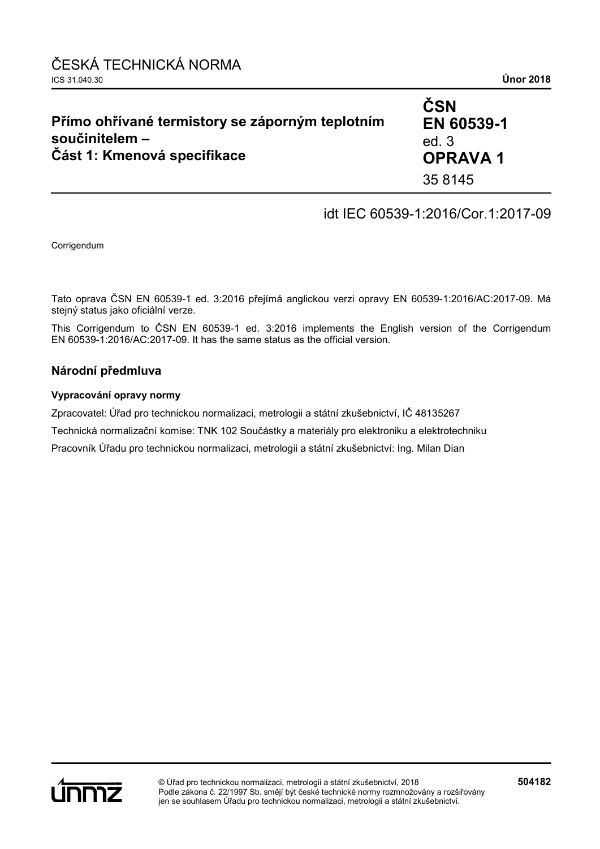| Přímo ohřívané termistory se záporným teplotním<br>součinitelem -<br>Část 1: Kmenová specifikace | ČSN<br>EN 60539-1<br>ed. $3$<br><b>OPRAVA1</b> |
|--------------------------------------------------------------------------------------------------|------------------------------------------------|
|                                                                                                  | 35 8145                                        |

# idt IEC 60539-1:2016/Cor.1:2017-09

Corrigendum

Tato oprava ČSN EN 60539-1 ed. 3:2016 přejímá anglickou verzi opravy EN 60539-1:2016/AC:2017-09. Má stejný status jako oficiální verze.

This Corrigendum to ČSN EN 60539-1 ed. 3:2016 implements the English version of the Corrigendum EN 60539-1:2016/AC:2017-09. It has the same status as the official version.

# **Národní předmluva**

#### **Vypracování opravy normy**

Zpracovatel: Úřad pro technickou normalizaci, metrologii a státní zkušebnictví, IČ 48135267

Technická normalizační komise: TNK 102 Součástky a materiály pro elektroniku a elektrotechniku

Pracovník Úřadu pro technickou normalizaci, metrologii a státní zkušebnictví: Ing. Milan Dian

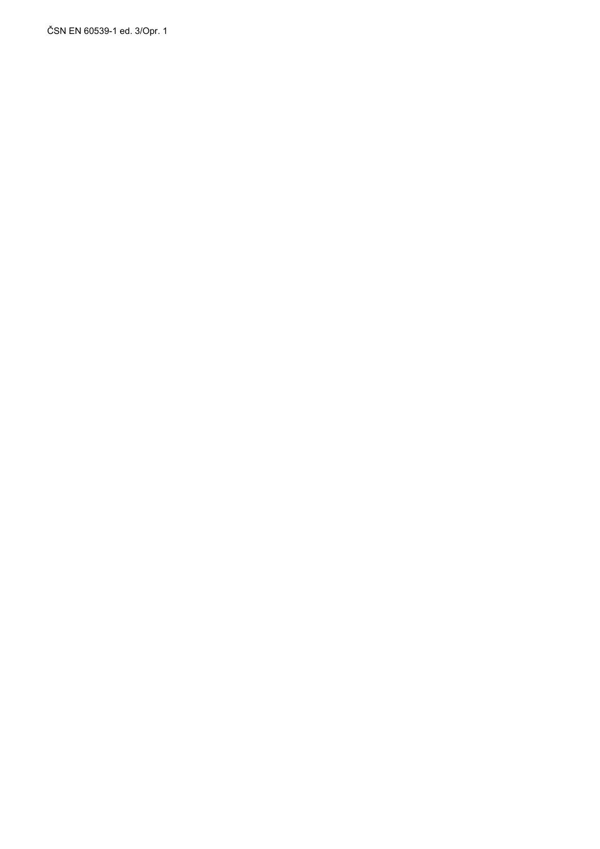ČSN EN 60539-1 ed. 3/Opr. 1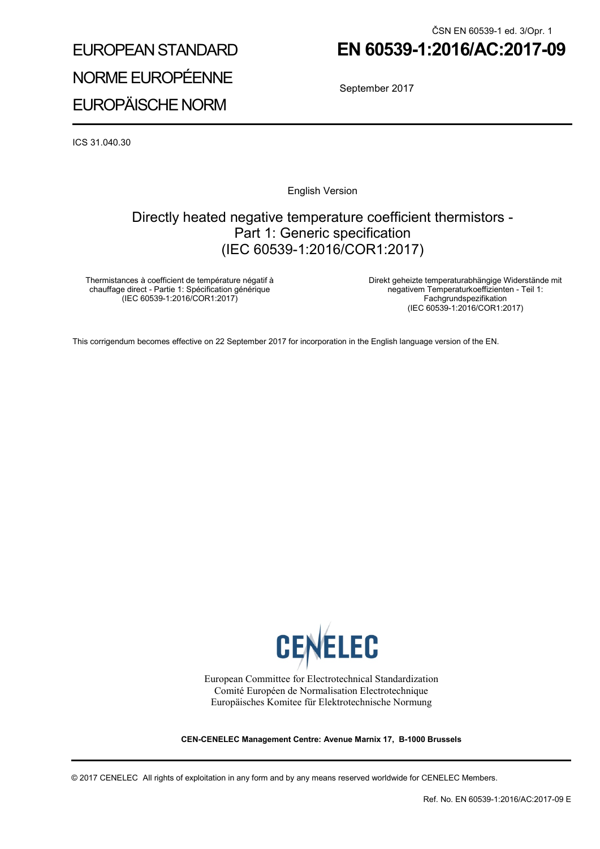# EUROPEAN STANDARD NORME EUROPÉENNE EUROPÄISCHE NORM



September 2017

ICS 31.040.30

English Version

# Directly heated negative temperature coefficient thermistors - Part 1: Generic specification (IEC 60539-1:2016/COR1:2017)

Thermistances à coefficient de température négatif à chauffage direct - Partie 1: Spécification générique (IEC 60539-1:2016/COR1:2017)

Direkt geheizte temperaturabhängige Widerstände mit negativem Temperaturkoeffizienten - Teil 1: Fachgrundspezifikation (IEC 60539-1:2016/COR1:2017)

This corrigendum becomes effective on 22 September 2017 for incorporation in the English language version of the EN.



European Committee for Electrotechnical Standardization Comité Européen de Normalisation Electrotechnique Europäisches Komitee für Elektrotechnische Normung

**CEN-CENELEC Management Centre: Avenue Marnix 17, B-1000 Brussels** 

© 2017 CENELEC All rights of exploitation in any form and by any means reserved worldwide for CENELEC Members.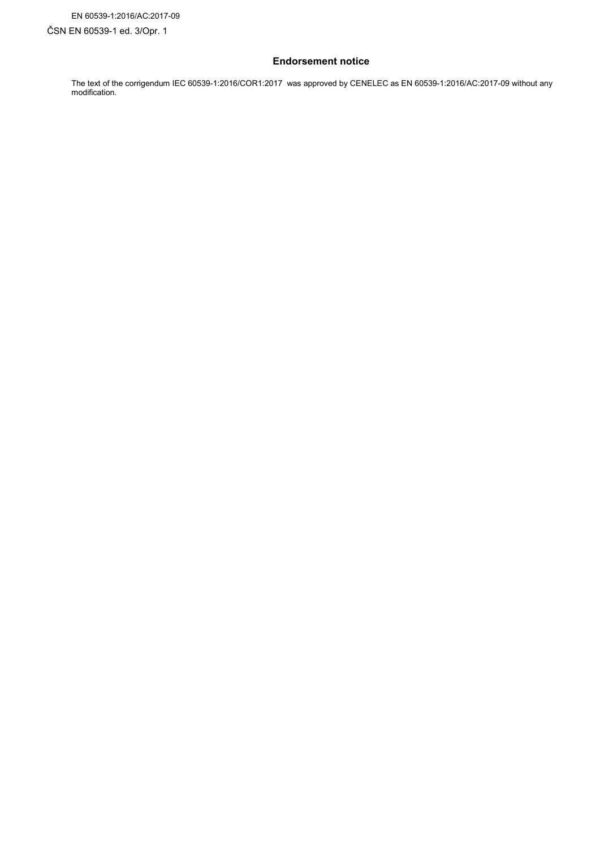EN 60539-1:2016/AC:2017-09

ČSN EN 60539-1 ed. 3/Opr. 1

#### **Endorsement notice**

The text of the corrigendum IEC 60539-1:2016/COR1:2017 was approved by CENELEC as EN 60539-1:2016/AC:2017-09 without any modification.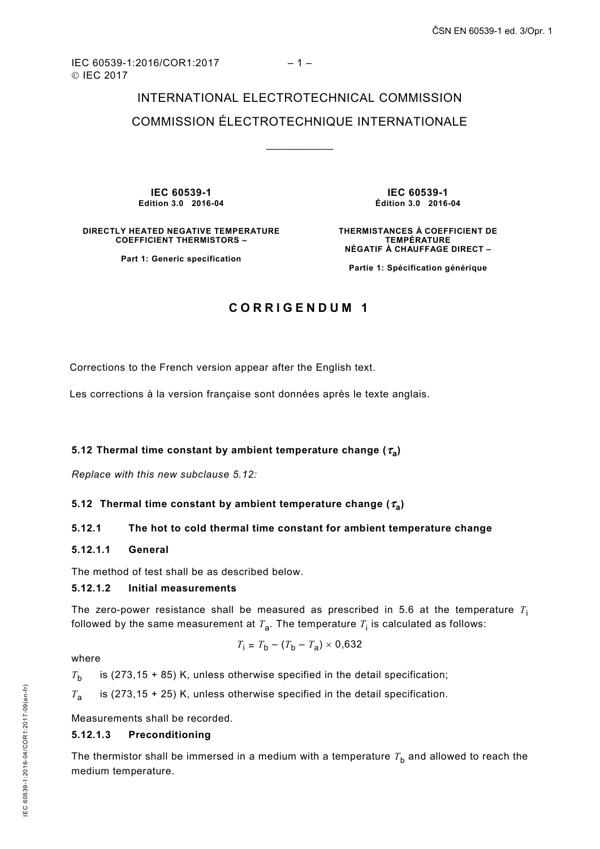$IEC 60539-1:2016/COR1:2017$   $-1-$ © IEC 2017

# INTERNATIONAL ELECTROTECHNICAL COMMISSION COMMISSION ÉLECTROTECHNIQUE INTERNATIONALE

\_\_\_\_\_\_\_\_\_\_\_\_

**IEC 60539-1 Edition 3.0 2016-04**

**IEC 60539-1 Édition 3.0 2016-04**

**DIRECTLY HEATED NEGATIVE TEMPERATURE COEFFICIENT THERMISTORS –** 

**Part 1: Generic specification**

**THERMISTANCES À COEFFICIENT DE TEMPÉRATURE NÉGATIF À CHAUFFAGE DIRECT –** 

**Partie 1: Spécification générique**

# **CORRIGENDUM 1**

Corrections to the French version appear after the English text.

Les corrections à la version française sont données après le texte anglais.

# **5.12 Thermal time constant by ambient temperature change**  $(\tau_a)$

*Replace with this new subclause 5.12:*

#### **5.12 Thermal time constant by ambient temperature change**  $(\tau_a)$

# **5.12.1 The hot to cold thermal time constant for ambient temperature change**

# **5.12.1.1 General**

The method of test shall be as described below.

#### **5.12.1.2 Initial measurements**

The zero-power resistance shall be measured as prescribed in 5.6 at the temperature  $T_i$ followed by the same measurement at  $T_a$ . The temperature  $T_i$  is calculated as follows:

$$
T_{\mathsf{i}} = T_{\mathsf{b}} - (T_{\mathsf{b}} - T_{\mathsf{a}}) \times 0.632
$$

where

 $T<sub>b</sub>$  is (273,15 + 85) K, unless otherwise specified in the detail specification;

*T<sub>a</sub>* is (273,15 + 25) K, unless otherwise specified in the detail specification.

Measurements shall be recorded.

#### **5.12.1.3 Preconditioning**

The thermistor shall be immersed in a medium with a temperature  $T<sub>b</sub>$  and allowed to reach the medium temperature.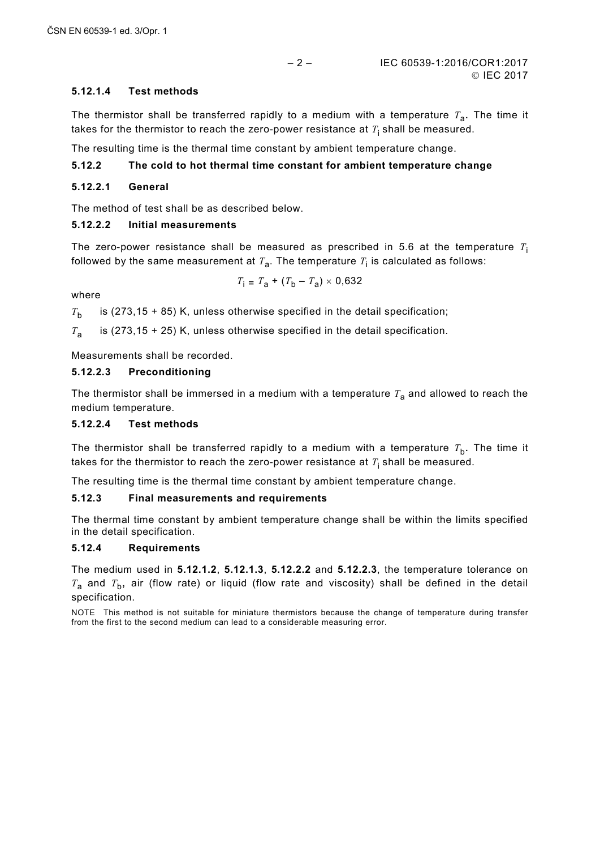# **5.12.1.4 Test methods**

The thermistor shall be transferred rapidly to a medium with a temperature  $T_a$ . The time it takes for the thermistor to reach the zero-power resistance at  $T_i$  shall be measured.

The resulting time is the thermal time constant by ambient temperature change.

# **5.12.2 The cold to hot thermal time constant for ambient temperature change**

# **5.12.2.1 General**

The method of test shall be as described below.

# **5.12.2.2 Initial measurements**

The zero-power resistance shall be measured as prescribed in 5.6 at the temperature *T*<sup>i</sup> followed by the same measurement at  $T_a$ . The temperature  $T_i$  is calculated as follows:

 $T_i = T_a + (T_b - T_a) \times 0,632$ 

where

 $T<sub>b</sub>$  is (273,15 + 85) K, unless otherwise specified in the detail specification;

 $T<sub>2</sub>$  is (273,15 + 25) K, unless otherwise specified in the detail specification.

Measurements shall be recorded.

# **5.12.2.3 Preconditioning**

The thermistor shall be immersed in a medium with a temperature  $T_a$  and allowed to reach the medium temperature.

# **5.12.2.4 Test methods**

The thermistor shall be transferred rapidly to a medium with a temperature  $T<sub>b</sub>$ . The time it takes for the thermistor to reach the zero-power resistance at  $T_i$  shall be measured.

The resulting time is the thermal time constant by ambient temperature change.

# **5.12.3 Final measurements and requirements**

The thermal time constant by ambient temperature change shall be within the limits specified in the detail specification.

# **5.12.4 Requirements**

The medium used in **5.12.1.2**, **5.12.1.3**, **5.12.2.2** and **5.12.2.3**, the temperature tolerance on  $T_a$  and  $T_b$ , air (flow rate) or liquid (flow rate and viscosity) shall be defined in the detail specification.

NOTE This method is not suitable for miniature thermistors because the change of temperature during transfer from the first to the second medium can lead to a considerable measuring error.